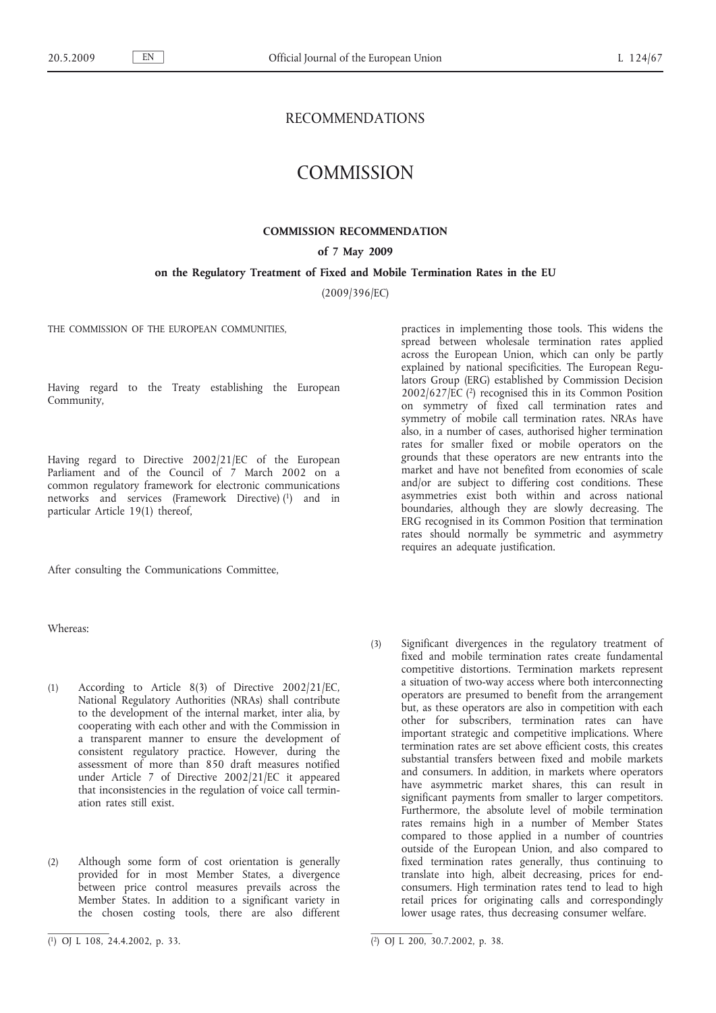# RECOMMENDATIONS

# **COMMISSION**

### **COMMISSION RECOMMENDATION**

#### **of 7 May 2009**

#### **on the Regulatory Treatment of Fixed and Mobile Termination Rates in the EU**

(2009/396/EC)

THE COMMISSION OF THE EUROPEAN COMMUNITIES.

Having regard to the Treaty establishing the European Community,

Having regard to Directive 2002/21/EC of the European Parliament and of the Council of 7 March 2002 on a common regulatory framework for electronic communications networks and services (Framework Directive) (1) and in particular Article 19(1) thereof,

After consulting the Communications Committee,

Whereas:

(1) According to Article 8(3) of Directive 2002/21/EC, National Regulatory Authorities (NRAs) shall contribute to the development of the internal market, inter alia, by cooperating with each other and with the Commission in a transparent manner to ensure the development of consistent regulatory practice. However, during the assessment of more than 850 draft measures notified under Article 7 of Directive 2002/21/EC it appeared that inconsistencies in the regulation of voice call termin-

(2) Although some form of cost orientation is generally provided for in most Member States, a divergence between price control measures prevails across the Member States. In addition to a significant variety in the chosen costing tools, there are also different practices in implementing those tools. This widens the spread between wholesale termination rates applied across the European Union, which can only be partly explained by national specificities. The European Regulators Group (ERG) established by Commission Decision 2002/627/EC (2) recognised this in its Common Position on symmetry of fixed call termination rates and symmetry of mobile call termination rates. NRAs have also, in a number of cases, authorised higher termination rates for smaller fixed or mobile operators on the grounds that these operators are new entrants into the market and have not benefited from economies of scale and/or are subject to differing cost conditions. These asymmetries exist both within and across national boundaries, although they are slowly decreasing. The ERG recognised in its Common Position that termination rates should normally be symmetric and asymmetry requires an adequate justification.

(3) Significant divergences in the regulatory treatment of fixed and mobile termination rates create fundamental competitive distortions. Termination markets represent a situation of two-way access where both interconnecting operators are presumed to benefit from the arrangement but, as these operators are also in competition with each other for subscribers, termination rates can have important strategic and competitive implications. Where termination rates are set above efficient costs, this creates substantial transfers between fixed and mobile markets and consumers. In addition, in markets where operators have asymmetric market shares, this can result in significant payments from smaller to larger competitors. Furthermore, the absolute level of mobile termination rates remains high in a number of Member States compared to those applied in a number of countries outside of the European Union, and also compared to fixed termination rates generally, thus continuing to translate into high, albeit decreasing, prices for endconsumers. High termination rates tend to lead to high retail prices for originating calls and correspondingly lower usage rates, thus decreasing consumer welfare.

ation rates still exist.

<sup>(</sup> 1) OJ L 108, 24.4.2002, p. 33. (2) OJ L 200, 30.7.2002, p. 38.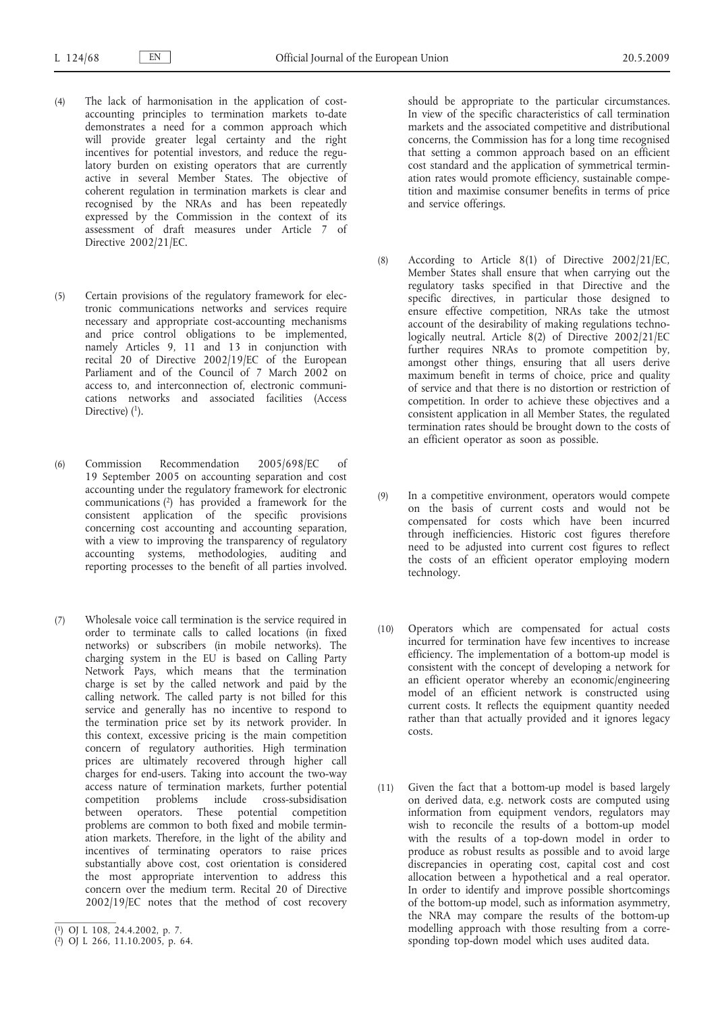- (4) The lack of harmonisation in the application of costaccounting principles to termination markets to-date demonstrates a need for a common approach which will provide greater legal certainty and the right incentives for potential investors, and reduce the regulatory burden on existing operators that are currently active in several Member States. The objective of coherent regulation in termination markets is clear and recognised by the NRAs and has been repeatedly expressed by the Commission in the context of its assessment of draft measures under Article 7 of Directive 2002/21/EC.
- (5) Certain provisions of the regulatory framework for electronic communications networks and services require necessary and appropriate cost-accounting mechanisms and price control obligations to be implemented, namely Articles 9, 11 and 13 in conjunction with recital 20 of Directive 2002/19/EC of the European Parliament and of the Council of 7 March 2002 on access to, and interconnection of, electronic communications networks and associated facilities (Access Directive)  $(1)$ .
- (6) Commission Recommendation 2005/698/EC of 19 September 2005 on accounting separation and cost accounting under the regulatory framework for electronic communications (2) has provided a framework for the consistent application of the specific provisions concerning cost accounting and accounting separation, with a view to improving the transparency of regulatory accounting systems, methodologies, auditing and reporting processes to the benefit of all parties involved.
- (7) Wholesale voice call termination is the service required in order to terminate calls to called locations (in fixed networks) or subscribers (in mobile networks). The charging system in the EU is based on Calling Party Network Pays, which means that the termination charge is set by the called network and paid by the calling network. The called party is not billed for this service and generally has no incentive to respond to the termination price set by its network provider. In this context, excessive pricing is the main competition concern of regulatory authorities. High termination prices are ultimately recovered through higher call charges for end-users. Taking into account the two-way access nature of termination markets, further potential competition problems include cross-subsidisation between operators. These potential competition problems are common to both fixed and mobile termination markets. Therefore, in the light of the ability and incentives of terminating operators to raise prices substantially above cost, cost orientation is considered the most appropriate intervention to address this concern over the medium term. Recital 20 of Directive 2002/19/EC notes that the method of cost recovery

should be appropriate to the particular circumstances. In view of the specific characteristics of call termination markets and the associated competitive and distributional concerns, the Commission has for a long time recognised that setting a common approach based on an efficient cost standard and the application of symmetrical termination rates would promote efficiency, sustainable competition and maximise consumer benefits in terms of price and service offerings.

- (8) According to Article 8(1) of Directive 2002/21/EC, Member States shall ensure that when carrying out the regulatory tasks specified in that Directive and the specific directives, in particular those designed to ensure effective competition, NRAs take the utmost account of the desirability of making regulations technologically neutral. Article 8(2) of Directive 2002/21/EC further requires NRAs to promote competition by, amongst other things, ensuring that all users derive maximum benefit in terms of choice, price and quality of service and that there is no distortion or restriction of competition. In order to achieve these objectives and a consistent application in all Member States, the regulated termination rates should be brought down to the costs of an efficient operator as soon as possible.
- (9) In a competitive environment, operators would compete on the basis of current costs and would not be compensated for costs which have been incurred through inefficiencies. Historic cost figures therefore need to be adjusted into current cost figures to reflect the costs of an efficient operator employing modern technology.
- (10) Operators which are compensated for actual costs incurred for termination have few incentives to increase efficiency. The implementation of a bottom-up model is consistent with the concept of developing a network for an efficient operator whereby an economic/engineering model of an efficient network is constructed using current costs. It reflects the equipment quantity needed rather than that actually provided and it ignores legacy costs.
- (11) Given the fact that a bottom-up model is based largely on derived data, e.g. network costs are computed using information from equipment vendors, regulators may wish to reconcile the results of a bottom-up model with the results of a top-down model in order to produce as robust results as possible and to avoid large discrepancies in operating cost, capital cost and cost allocation between a hypothetical and a real operator. In order to identify and improve possible shortcomings of the bottom-up model, such as information asymmetry, the NRA may compare the results of the bottom-up modelling approach with those resulting from a corresponding top-down model which uses audited data.

<sup>(</sup> 1) OJ L 108, 24.4.2002, p. 7.

<sup>(</sup> 2) OJ L 266, 11.10.2005, p. 64.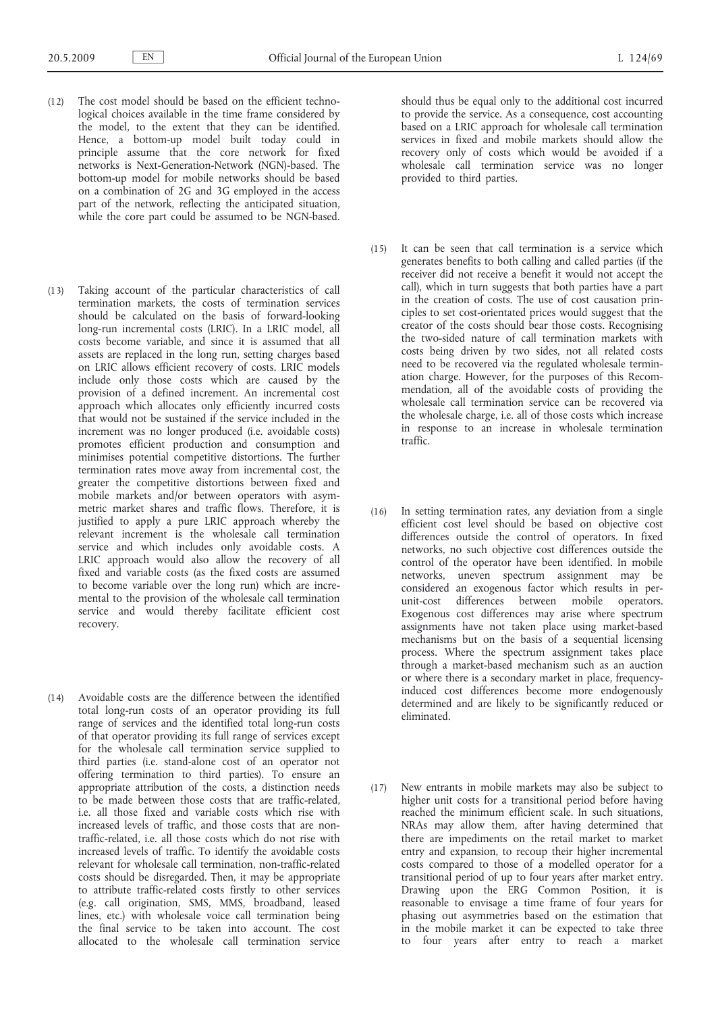- (12) The cost model should be based on the efficient technological choices available in the time frame considered by the model, to the extent that they can be identified. Hence, a bottom-up model built today could in principle assume that the core network for fixed networks is Next-Generation-Network (NGN)-based. The bottom-up model for mobile networks should be based on a combination of 2G and 3G employed in the access part of the network, reflecting the anticipated situation, while the core part could be assumed to be NGN-based.
- (13) Taking account of the particular characteristics of call termination markets, the costs of termination services should be calculated on the basis of forward-looking long-run incremental costs (LRIC). In a LRIC model, all costs become variable, and since it is assumed that all assets are replaced in the long run, setting charges based on LRIC allows efficient recovery of costs. LRIC models include only those costs which are caused by the provision of a defined increment. An incremental cost approach which allocates only efficiently incurred costs that would not be sustained if the service included in the increment was no longer produced (i.e. avoidable costs) promotes efficient production and consumption and minimises potential competitive distortions. The further termination rates move away from incremental cost, the greater the competitive distortions between fixed and mobile markets and/or between operators with asymmetric market shares and traffic flows. Therefore, it is justified to apply a pure LRIC approach whereby the relevant increment is the wholesale call termination service and which includes only avoidable costs. A LRIC approach would also allow the recovery of all fixed and variable costs (as the fixed costs are assumed to become variable over the long run) which are incremental to the provision of the wholesale call termination service and would thereby facilitate efficient cost recovery.
- (14) Avoidable costs are the difference between the identified total long-run costs of an operator providing its full range of services and the identified total long-run costs of that operator providing its full range of services except for the wholesale call termination service supplied to third parties (i.e. stand-alone cost of an operator not offering termination to third parties). To ensure an appropriate attribution of the costs, a distinction needs to be made between those costs that are traffic-related, i.e. all those fixed and variable costs which rise with increased levels of traffic, and those costs that are nontraffic-related, i.e. all those costs which do not rise with increased levels of traffic. To identify the avoidable costs relevant for wholesale call termination, non-traffic-related costs should be disregarded. Then, it may be appropriate to attribute traffic-related costs firstly to other services (e.g. call origination, SMS, MMS, broadband, leased lines, etc.) with wholesale voice call termination being the final service to be taken into account. The cost allocated to the wholesale call termination service

should thus be equal only to the additional cost incurred to provide the service. As a consequence, cost accounting based on a LRIC approach for wholesale call termination services in fixed and mobile markets should allow the recovery only of costs which would be avoided if a wholesale call termination service was no longer provided to third parties.

- (15) It can be seen that call termination is a service which generates benefits to both calling and called parties (if the receiver did not receive a benefit it would not accept the call), which in turn suggests that both parties have a part in the creation of costs. The use of cost causation principles to set cost-orientated prices would suggest that the creator of the costs should bear those costs. Recognising the two-sided nature of call termination markets with costs being driven by two sides, not all related costs need to be recovered via the regulated wholesale termination charge. However, for the purposes of this Recommendation, all of the avoidable costs of providing the wholesale call termination service can be recovered via the wholesale charge, i.e. all of those costs which increase in response to an increase in wholesale termination traffic.
- (16) In setting termination rates, any deviation from a single efficient cost level should be based on objective cost differences outside the control of operators. In fixed networks, no such objective cost differences outside the control of the operator have been identified. In mobile networks, uneven spectrum assignment may be considered an exogenous factor which results in perunit-cost differences between mobile operators. Exogenous cost differences may arise where spectrum assignments have not taken place using market-based mechanisms but on the basis of a sequential licensing process. Where the spectrum assignment takes place through a market-based mechanism such as an auction or where there is a secondary market in place, frequencyinduced cost differences become more endogenously determined and are likely to be significantly reduced or eliminated.
- (17) New entrants in mobile markets may also be subject to higher unit costs for a transitional period before having reached the minimum efficient scale. In such situations, NRAs may allow them, after having determined that there are impediments on the retail market to market entry and expansion, to recoup their higher incremental costs compared to those of a modelled operator for a transitional period of up to four years after market entry. Drawing upon the ERG Common Position, it is reasonable to envisage a time frame of four years for phasing out asymmetries based on the estimation that in the mobile market it can be expected to take three to four years after entry to reach a market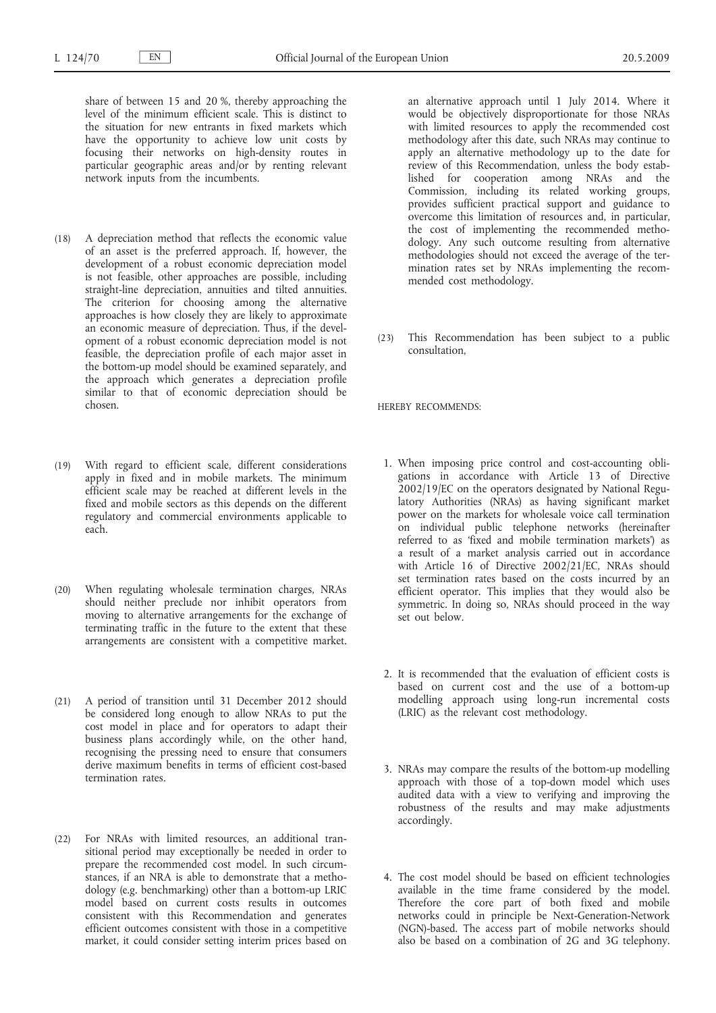share of between 15 and 20 %, thereby approaching the level of the minimum efficient scale. This is distinct to the situation for new entrants in fixed markets which have the opportunity to achieve low unit costs by focusing their networks on high-density routes in particular geographic areas and/or by renting relevant network inputs from the incumbents.

- (18) A depreciation method that reflects the economic value of an asset is the preferred approach. If, however, the development of a robust economic depreciation model is not feasible, other approaches are possible, including straight-line depreciation, annuities and tilted annuities. The criterion for choosing among the alternative approaches is how closely they are likely to approximate an economic measure of depreciation. Thus, if the development of a robust economic depreciation model is not feasible, the depreciation profile of each major asset in the bottom-up model should be examined separately, and the approach which generates a depreciation profile similar to that of economic depreciation should be chosen.
- (19) With regard to efficient scale, different considerations apply in fixed and in mobile markets. The minimum efficient scale may be reached at different levels in the fixed and mobile sectors as this depends on the different regulatory and commercial environments applicable to each.
- (20) When regulating wholesale termination charges, NRAs should neither preclude nor inhibit operators from moving to alternative arrangements for the exchange of terminating traffic in the future to the extent that these arrangements are consistent with a competitive market.
- (21) A period of transition until 31 December 2012 should be considered long enough to allow NRAs to put the cost model in place and for operators to adapt their business plans accordingly while, on the other hand, recognising the pressing need to ensure that consumers derive maximum benefits in terms of efficient cost-based termination rates.
- (22) For NRAs with limited resources, an additional transitional period may exceptionally be needed in order to prepare the recommended cost model. In such circumstances, if an NRA is able to demonstrate that a methodology (e.g. benchmarking) other than a bottom-up LRIC model based on current costs results in outcomes consistent with this Recommendation and generates efficient outcomes consistent with those in a competitive market, it could consider setting interim prices based on

an alternative approach until 1 July 2014. Where it would be objectively disproportionate for those NRAs with limited resources to apply the recommended cost methodology after this date, such NRAs may continue to apply an alternative methodology up to the date for review of this Recommendation, unless the body established for cooperation among NRAs and the Commission, including its related working groups, provides sufficient practical support and guidance to overcome this limitation of resources and, in particular, the cost of implementing the recommended methodology. Any such outcome resulting from alternative methodologies should not exceed the average of the termination rates set by NRAs implementing the recommended cost methodology.

(23) This Recommendation has been subject to a public consultation,

HEREBY RECOMMENDS:

- 1. When imposing price control and cost-accounting obligations in accordance with Article 13 of Directive 2002/19/EC on the operators designated by National Regulatory Authorities (NRAs) as having significant market power on the markets for wholesale voice call termination on individual public telephone networks (hereinafter referred to as 'fixed and mobile termination markets') as a result of a market analysis carried out in accordance with Article 16 of Directive 2002/21/EC, NRAs should set termination rates based on the costs incurred by an efficient operator. This implies that they would also be symmetric. In doing so, NRAs should proceed in the way set out below.
- 2. It is recommended that the evaluation of efficient costs is based on current cost and the use of a bottom-up modelling approach using long-run incremental costs (LRIC) as the relevant cost methodology.
- 3. NRAs may compare the results of the bottom-up modelling approach with those of a top-down model which uses audited data with a view to verifying and improving the robustness of the results and may make adjustments accordingly.
- 4. The cost model should be based on efficient technologies available in the time frame considered by the model. Therefore the core part of both fixed and mobile networks could in principle be Next-Generation-Network (NGN)-based. The access part of mobile networks should also be based on a combination of 2G and 3G telephony.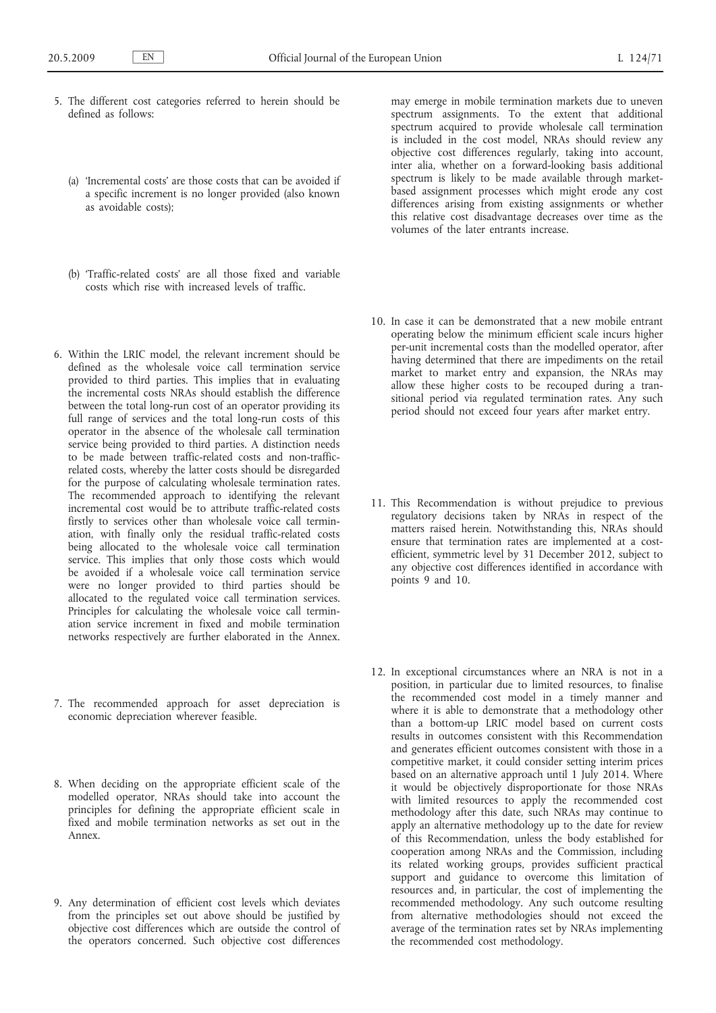- 5. The different cost categories referred to herein should be defined as follows:
	- (a) 'Incremental costs' are those costs that can be avoided if a specific increment is no longer provided (also known as avoidable costs);
	- (b) 'Traffic-related costs' are all those fixed and variable costs which rise with increased levels of traffic.
- 6. Within the LRIC model, the relevant increment should be defined as the wholesale voice call termination service provided to third parties. This implies that in evaluating the incremental costs NRAs should establish the difference between the total long-run cost of an operator providing its full range of services and the total long-run costs of this operator in the absence of the wholesale call termination service being provided to third parties. A distinction needs to be made between traffic-related costs and non-trafficrelated costs, whereby the latter costs should be disregarded for the purpose of calculating wholesale termination rates. The recommended approach to identifying the relevant incremental cost would be to attribute traffic-related costs firstly to services other than wholesale voice call termination, with finally only the residual traffic-related costs being allocated to the wholesale voice call termination service. This implies that only those costs which would be avoided if a wholesale voice call termination service were no longer provided to third parties should be allocated to the regulated voice call termination services. Principles for calculating the wholesale voice call termination service increment in fixed and mobile termination networks respectively are further elaborated in the Annex.
- 7. The recommended approach for asset depreciation is economic depreciation wherever feasible.
- 8. When deciding on the appropriate efficient scale of the modelled operator, NRAs should take into account the principles for defining the appropriate efficient scale in fixed and mobile termination networks as set out in the Annex.
- 9. Any determination of efficient cost levels which deviates from the principles set out above should be justified by objective cost differences which are outside the control of the operators concerned. Such objective cost differences

may emerge in mobile termination markets due to uneven spectrum assignments. To the extent that additional spectrum acquired to provide wholesale call termination is included in the cost model, NRAs should review any objective cost differences regularly, taking into account, inter alia, whether on a forward-looking basis additional spectrum is likely to be made available through marketbased assignment processes which might erode any cost differences arising from existing assignments or whether this relative cost disadvantage decreases over time as the volumes of the later entrants increase.

- 10. In case it can be demonstrated that a new mobile entrant operating below the minimum efficient scale incurs higher per-unit incremental costs than the modelled operator, after having determined that there are impediments on the retail market to market entry and expansion, the NRAs may allow these higher costs to be recouped during a transitional period via regulated termination rates. Any such period should not exceed four years after market entry.
- 11. This Recommendation is without prejudice to previous regulatory decisions taken by NRAs in respect of the matters raised herein. Notwithstanding this, NRAs should ensure that termination rates are implemented at a costefficient, symmetric level by 31 December 2012, subject to any objective cost differences identified in accordance with points 9 and 10.
- 12. In exceptional circumstances where an NRA is not in a position, in particular due to limited resources, to finalise the recommended cost model in a timely manner and where it is able to demonstrate that a methodology other than a bottom-up LRIC model based on current costs results in outcomes consistent with this Recommendation and generates efficient outcomes consistent with those in a competitive market, it could consider setting interim prices based on an alternative approach until 1 July 2014. Where it would be objectively disproportionate for those NRAs with limited resources to apply the recommended cost methodology after this date, such NRAs may continue to apply an alternative methodology up to the date for review of this Recommendation, unless the body established for cooperation among NRAs and the Commission, including its related working groups, provides sufficient practical support and guidance to overcome this limitation of resources and, in particular, the cost of implementing the recommended methodology. Any such outcome resulting from alternative methodologies should not exceed the average of the termination rates set by NRAs implementing the recommended cost methodology.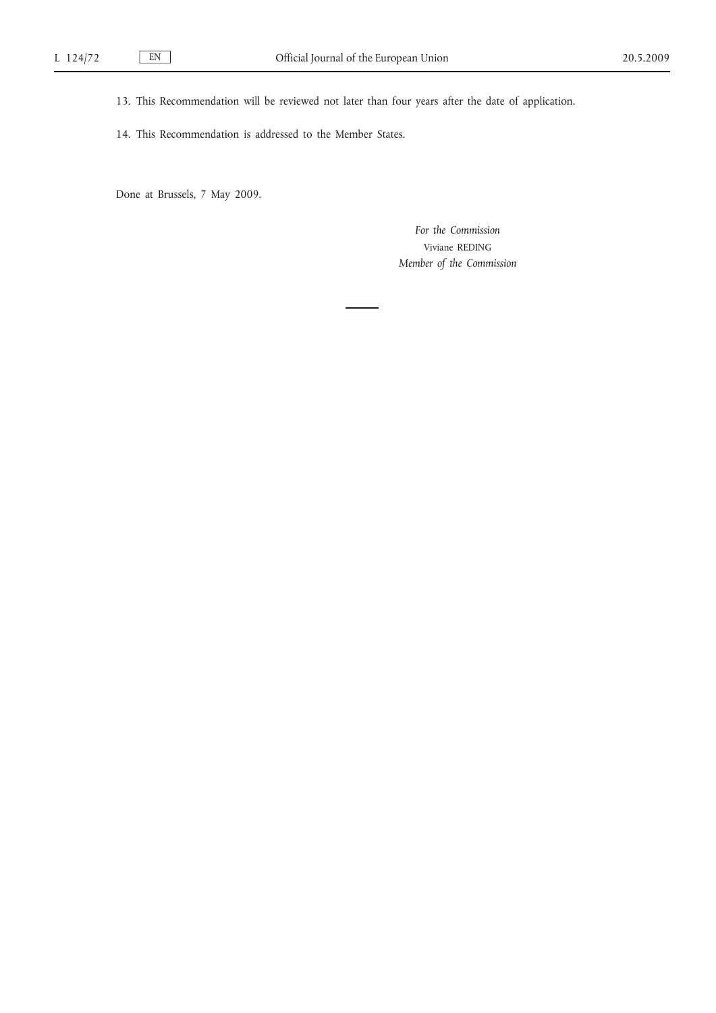13. This Recommendation will be reviewed not later than four years after the date of application.

14. This Recommendation is addressed to the Member States.

Done at Brussels, 7 May 2009.

*For the Commission* Viviane REDING *Member of the Commission*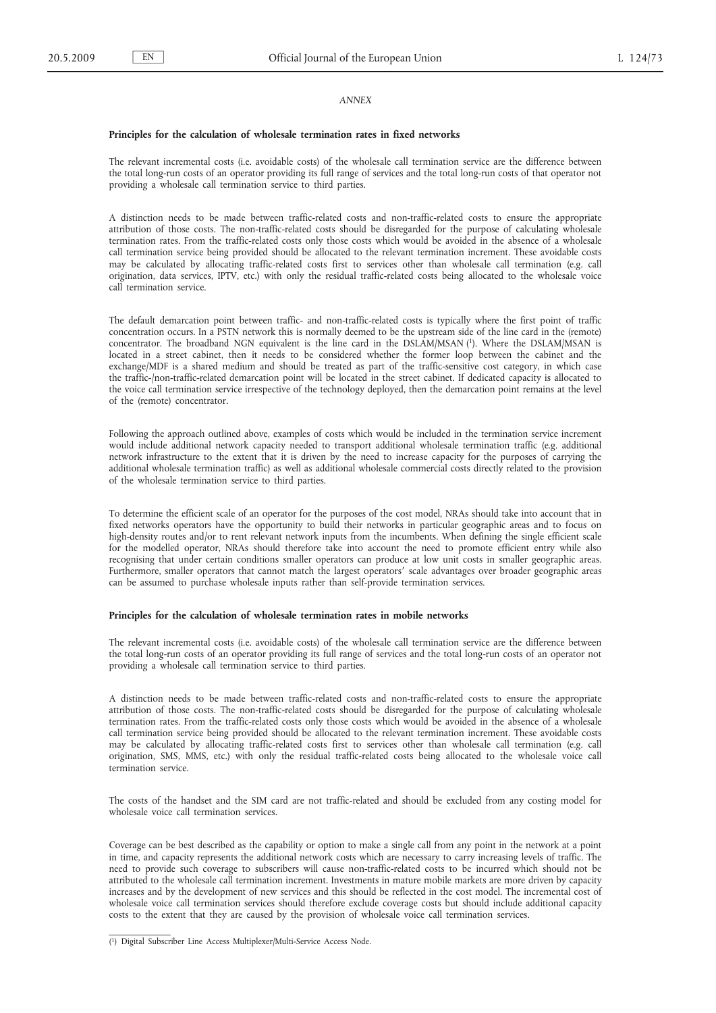#### *ANNEX*

#### **Principles for the calculation of wholesale termination rates in fixed networks**

The relevant incremental costs (i.e. avoidable costs) of the wholesale call termination service are the difference between the total long-run costs of an operator providing its full range of services and the total long-run costs of that operator not providing a wholesale call termination service to third parties.

A distinction needs to be made between traffic-related costs and non-traffic-related costs to ensure the appropriate attribution of those costs. The non-traffic-related costs should be disregarded for the purpose of calculating wholesale termination rates. From the traffic-related costs only those costs which would be avoided in the absence of a wholesale call termination service being provided should be allocated to the relevant termination increment. These avoidable costs may be calculated by allocating traffic-related costs first to services other than wholesale call termination (e.g. call origination, data services, IPTV, etc.) with only the residual traffic-related costs being allocated to the wholesale voice call termination service.

The default demarcation point between traffic- and non-traffic-related costs is typically where the first point of traffic concentration occurs. In a PSTN network this is normally deemed to be the upstream side of the line card in the (remote) concentrator. The broadband NGN equivalent is the line card in the DSLAM/MSAN (1). Where the DSLAM/MSAN is located in a street cabinet, then it needs to be considered whether the former loop between the cabinet and the exchange/MDF is a shared medium and should be treated as part of the traffic-sensitive cost category, in which case the traffic-/non-traffic-related demarcation point will be located in the street cabinet. If dedicated capacity is allocated to the voice call termination service irrespective of the technology deployed, then the demarcation point remains at the level of the (remote) concentrator.

Following the approach outlined above, examples of costs which would be included in the termination service increment would include additional network capacity needed to transport additional wholesale termination traffic (e.g. additional network infrastructure to the extent that it is driven by the need to increase capacity for the purposes of carrying the additional wholesale termination traffic) as well as additional wholesale commercial costs directly related to the provision of the wholesale termination service to third parties.

To determine the efficient scale of an operator for the purposes of the cost model, NRAs should take into account that in fixed networks operators have the opportunity to build their networks in particular geographic areas and to focus on high-density routes and/or to rent relevant network inputs from the incumbents. When defining the single efficient scale for the modelled operator, NRAs should therefore take into account the need to promote efficient entry while also recognising that under certain conditions smaller operators can produce at low unit costs in smaller geographic areas. Furthermore, smaller operators that cannot match the largest operators′ scale advantages over broader geographic areas can be assumed to purchase wholesale inputs rather than self-provide termination services.

## **Principles for the calculation of wholesale termination rates in mobile networks**

The relevant incremental costs (i.e. avoidable costs) of the wholesale call termination service are the difference between the total long-run costs of an operator providing its full range of services and the total long-run costs of an operator not providing a wholesale call termination service to third parties.

A distinction needs to be made between traffic-related costs and non-traffic-related costs to ensure the appropriate attribution of those costs. The non-traffic-related costs should be disregarded for the purpose of calculating wholesale termination rates. From the traffic-related costs only those costs which would be avoided in the absence of a wholesale call termination service being provided should be allocated to the relevant termination increment. These avoidable costs may be calculated by allocating traffic-related costs first to services other than wholesale call termination (e.g. call origination, SMS, MMS, etc.) with only the residual traffic-related costs being allocated to the wholesale voice call termination service.

The costs of the handset and the SIM card are not traffic-related and should be excluded from any costing model for wholesale voice call termination services.

Coverage can be best described as the capability or option to make a single call from any point in the network at a point in time, and capacity represents the additional network costs which are necessary to carry increasing levels of traffic. The need to provide such coverage to subscribers will cause non-traffic-related costs to be incurred which should not be attributed to the wholesale call termination increment. Investments in mature mobile markets are more driven by capacity increases and by the development of new services and this should be reflected in the cost model. The incremental cost of wholesale voice call termination services should therefore exclude coverage costs but should include additional capacity costs to the extent that they are caused by the provision of wholesale voice call termination services.

<sup>(</sup> 1) Digital Subscriber Line Access Multiplexer/Multi-Service Access Node.